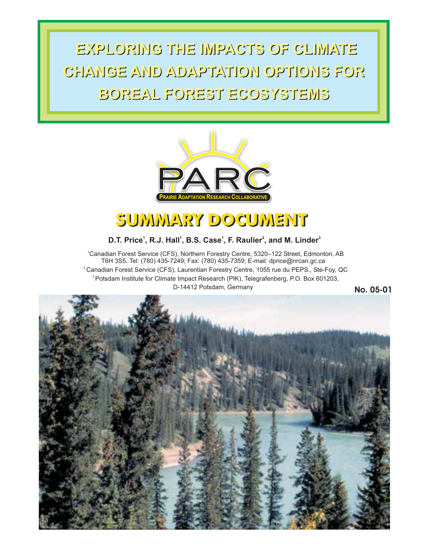**EXPLORING THE IMPACTS OF CLIMATE EXPLORING THE IMPACTS OF CLIMATE CHANGE AND ADAPTATION OPTIONS FOR CHANGE AND ADAPTATION OPTIONS FOR BOREAL FOREST ECOSYSTEMS BOREAL FOREST ECOSYSTEMS**



# SUMMARY DOCUMENT

# **D.T. Price<sup>1</sup>, R.J. Hall<sup>1</sup>, B.S. Case<sup>1</sup>, F. Raulier<sup>2</sup>, and M. Linder<sup>3</sup>**

1 Canadian Forest Service (CFS), Northern Forestry Centre, 5320–122 Street, Edmonton, AB  $^2$ Canadian Forest Service (CFS), Laurentian Forestry Centre, 1055 rue du PEPS., Ste-Foy, QC 3 Potsdam Institute for Climate Impact Research (PIK), Telegrafenberg, P.O. Box 601203, T6H 3S5. Tel: (780) 435-7249; Fax: (780) 435-7359; E-mail: dprice@nrcan.gc.ca D-14412 Potsdam, Germany

**No. 05-01**

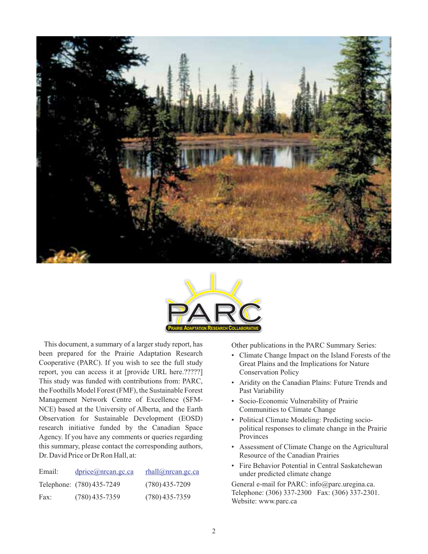



This document, a summary of a larger study report, has been prepared for the Prairie Adaptation Research Cooperative (PARC). If you wish to see the full study report, you can access it at [provide URL here.?????] This study was funded with contributions from: PARC, the Foothills Model Forest (FMF), the Sustainable Forest Management Network Centre of Excellence (SFM-NCE) based at the University of Alberta, and the Earth Observation for Sustainable Development (EOSD) research initiative funded by the Canadian Space Agency. If you have any comments or queries regarding this summary, please contact the corresponding authors, Dr. David Price or Dr Ron Hall, at:

| Email: | $\text{dprice}(\text{@nrcan.gc.ca})$ | rhall@nrcan.gc.ca |
|--------|--------------------------------------|-------------------|
|        | Telephone: (780) 435-7249            | $(780)$ 435-7209  |
| Fax:   | $(780)$ 435-7359                     | $(780)$ 435-7359  |

Other publications in the PARC Summary Series:

- Climate Change Impact on the Island Forests of the Great Plains and the Implications for Nature Conservation Policy
- Aridity on the Canadian Plains: Future Trends and Past Variability
- Socio-Economic Vulnerability of Prairie Communities to Climate Change
- Political Climate Modeling: Predicting sociopolitical responses to climate change in the Prairie Provinces
- Assessment of Climate Change on the Agricultural Resource of the Canadian Prairies
- Fire Behavior Potential in Central Saskatchewan under predicted climate change

General e-mail for PARC: info@parc.uregina.ca. Telephone: (306) 337-2300 Fax: (306) 337-2301. Website: www.parc.ca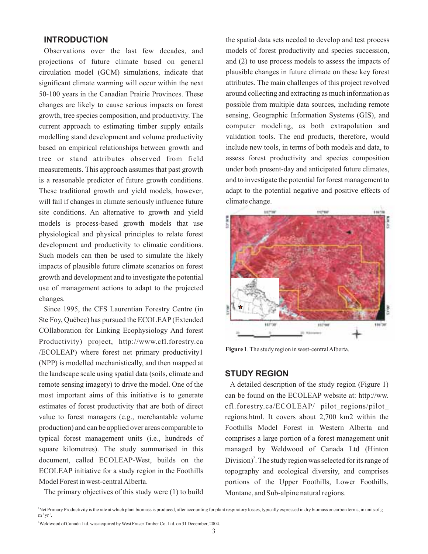## **INTRODUCTION**

Observations over the last few decades, and projections of future climate based on general circulation model (GCM) simulations, indicate that significant climate warming will occur within the next 50-100 years in the Canadian Prairie Provinces. These changes are likely to cause serious impacts on forest growth, tree species composition, and productivity. The current approach to estimating timber supply entails modelling stand development and volume productivity based on empirical relationships between growth and tree or stand attributes observed from field measurements. This approach assumes that past growth is a reasonable predictor of future growth conditions. These traditional growth and yield models, however, will fail if changes in climate seriously influence future site conditions. An alternative to growth and yield models is process-based growth models that use physiological and physical principles to relate forest development and productivity to climatic conditions. Such models can then be used to simulate the likely impacts of plausible future climate scenarios on forest growth and development and to investigate the potential use of management actions to adapt to the projected changes.

Since 1995, the CFS Laurentian Forestry Centre (in Ste Foy, Québec) has pursued the ECOLEAP (Extended COllaboration for Linking Ecophysiology And forest Productivity) project, http://www.cfl.forestry.ca /ECOLEAP) where forest net primary productivity1 (NPP) is modelled mechanistically, and then mapped at the landscape scale using spatial data (soils, climate and remote sensing imagery) to drive the model. One of the most important aims of this initiative is to generate estimates of forest productivity that are both of direct value to forest managers (e.g., merchantable volume production) and can be applied over areas comparable to typical forest management units (i.e., hundreds of square kilometres). The study summarised in this document, called ECOLEAP-West, builds on the ECOLEAP initiative for a study region in the Foothills Model Forest in west-central Alberta.

The primary objectives of this study were (1) to build

the spatial data sets needed to develop and test process models of forest productivity and species succession, and (2) to use process models to assess the impacts of plausible changes in future climate on these key forest attributes. The main challenges of this project revolved around collecting and extracting as much information as possible from multiple data sources, including remote sensing, Geographic Information Systems (GIS), and computer modeling, as both extrapolation and validation tools. The end products, therefore, would include new tools, in terms of both models and data, to assess forest productivity and species composition under both present-day and anticipated future climates, and to investigate the potential for forest management to adapt to the potential negative and positive effects of climate change.



**Figure 1**. The study region in west-centralAlberta.

## **STUDY REGION**

A detailed description of the study region (Figure 1) can be found on the ECOLEAP website at: http://ww. cfl.forestry.ca/ECOLEAP/ pilot\_regions/pilot\_ regions.html. It covers about 2,700 km2 within the Foothills Model Forest in Western Alberta and comprises a large portion of a forest management unit managed by Weldwood of Canada Ltd (Hinton  $Division)^2$ . The study region was selected for its range of topography and ecological diversity, and comprises portions of the Upper Foothills, Lower Foothills, Montane, and Sub-alpine natural regions.

Net Primary Productivity is the rate at which plant biomass is produced, after accounting for plant respiratory losses, typically expressed in dry biomass or carbon terms, in units of g  $\text{m}^{\text{-2}} \text{yr}^{\text{-1}}$ .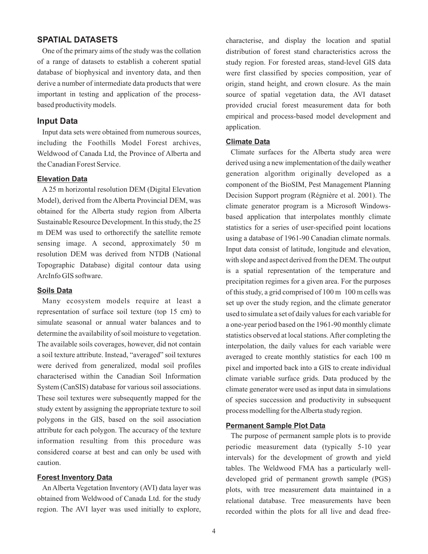# **SPATIAL DATASETS**

One of the primary aims of the study was the collation of a range of datasets to establish a coherent spatial database of biophysical and inventory data, and then derive a number of intermediate data products that were important in testing and application of the processbased productivity models.

## **Input Data**

Input data sets were obtained from numerous sources, including the Foothills Model Forest archives, Weldwood of Canada Ltd, the Province of Alberta and the Canadian Forest Service.

#### **Elevation Data**

A 25 m horizontal resolution DEM (Digital Elevation Model), derived from the Alberta Provincial DEM, was obtained for the Alberta study region from Alberta Sustainable Resource Development. In this study, the 25 m DEM was used to orthorectify the satellite remote sensing image. A second, approximately 50 m resolution DEM was derived from NTDB (National Topographic Database) digital contour data using ArcInfo GIS software.

#### **Soils Data**

Many ecosystem models require at least a representation of surface soil texture (top 15 cm) to simulate seasonal or annual water balances and to determine the availability of soil moisture to vegetation. The available soils coverages, however, did not contain a soil texture attribute. Instead, "averaged" soil textures were derived from generalized, modal soil profiles characterised within the Canadian Soil Information System (CanSIS) database for various soil associations. These soil textures were subsequently mapped for the study extent by assigning the appropriate texture to soil polygons in the GIS, based on the soil association attribute for each polygon. The accuracy of the texture information resulting from this procedure was considered coarse at best and can only be used with caution.

#### **Forest Inventory Data**

An Alberta Vegetation Inventory (AVI) data layer was obtained from Weldwood of Canada Ltd. for the study region. The AVI layer was used initially to explore, characterise, and display the location and spatial distribution of forest stand characteristics across the study region. For forested areas, stand-level GIS data were first classified by species composition, year of origin, stand height, and crown closure. As the main source of spatial vegetation data, the AVI dataset provided crucial forest measurement data for both empirical and process-based model development and application.

## **Climate Data**

Climate surfaces for the Alberta study area were derived using a new implementation of the daily weather generation algorithm originally developed as a component of the BioSIM, Pest Management Planning Decision Support program (Régnière et al. 2001). The climate generator program is a Microsoft Windowsbased application that interpolates monthly climate statistics for a series of user-specified point locations using a database of 1961-90 Canadian climate normals. Input data consist of latitude, longitude and elevation, with slope and aspect derived from the DEM. The output is a spatial representation of the temperature and precipitation regimes for a given area. For the purposes of this study, a grid comprised of 100 m 100 m cells was set up over the study region, and the climate generator used to simulate a set of daily values for each variable for a one-year period based on the 1961-90 monthly climate statistics observed at local stations.After completing the interpolation, the daily values for each variable were averaged to create monthly statistics for each 100 m pixel and imported back into a GIS to create individual climate variable surface grids. Data produced by the climate generator were used as input data in simulations of species succession and productivity in subsequent process modelling for theAlberta study region.

#### **Permanent Sample Plot Data**

The purpose of permanent sample plots is to provide periodic measurement data (typically 5-10 year intervals) for the development of growth and yield tables. The Weldwood FMA has a particularly welldeveloped grid of permanent growth sample (PGS) plots, with tree measurement data maintained in a relational database. Tree measurements have been recorded within the plots for all live and dead free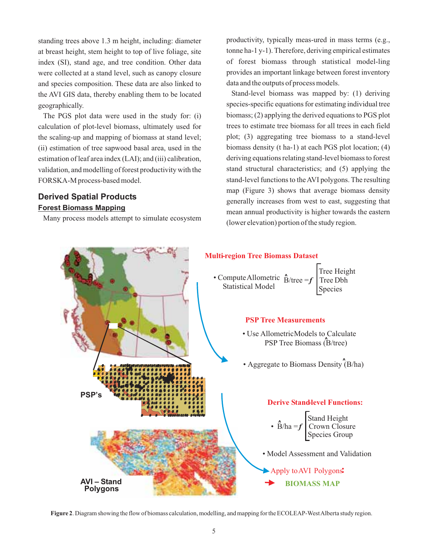standing trees above 1.3 m height, including: diameter at breast height, stem height to top of live foliage, site index (SI), stand age, and tree condition. Other data were collected at a stand level, such as canopy closure and species composition. These data are also linked to the AVI GIS data, thereby enabling them to be located geographically.

The PGS plot data were used in the study for: (i) calculation of plot-level biomass, ultimately used for the scaling-up and mapping of biomass at stand level; (ii) estimation of tree sapwood basal area, used in the estimation of leaf area index (LAI); and (iii) calibration, validation, and modelling of forest productivity with the FORSKA-M process-based model.

# **Derived Spatial Products Forest Biomass Mapping**

Many process models attempt to simulate ecosystem

productivity, typically meas-ured in mass terms (e.g., tonne ha-1 y-1). Therefore, deriving empirical estimates of forest biomass through statistical model-ling provides an important linkage between forest inventory data and the outputs of process models.

Stand-level biomass was mapped by: (1) deriving species-specific equations for estimating individual tree biomass; (2) applying the derived equations to PGS plot trees to estimate tree biomass for all trees in each field plot; (3) aggregating tree biomass to a stand-level biomass density (t ha-1) at each PGS plot location; (4) deriving equations relating stand-level biomass to forest stand structural characteristics; and (5) applying the stand-level functions to theAVI polygons. The resulting map (Figure 3) shows that average biomass density generally increases from west to east, suggesting that mean annual productivity is higher towards the eastern (lower elevation) portion of the study region.



**Figure 2**. Diagram showing the flow of biomass calculation, modelling, and mapping for the ECOLEAP-WestAlberta study region.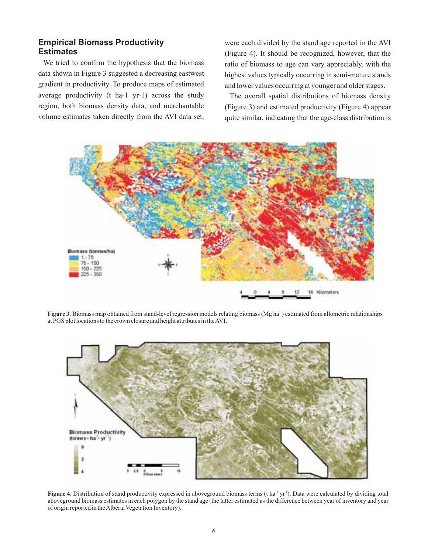# **Empirical Biomass Productivity Estimates**

We tried to confirm the hypothesis that the biomass data shown in Figure 3 suggested a decreasing eastwest gradient in productivity. To produce maps of estimated average productivity (t ha-1 yr-1) across the study region, both biomass density data, and merchantable volume estimates taken directly from the AVI data set,

were each divided by the stand age reported in the AVI (Figure 4). It should be recognized, however, that the ratio of biomass to age can vary appreciably, with the highest values typically occurring in semi-mature stands and lower values occurring at younger and older stages.

The overall spatial distributions of biomass density (Figure 3) and estimated productivity (Figure 4) appear quite similar, indicating that the age-class distribution is



Figure 3. Biomass map obtained from stand-level regression models relating biomass (Mg ha<sup>-1</sup>) estimated from allometric relationships at PGS plot locations to the crown closure and height attributes in theAVI.



Figure 4. Distribution of stand productivity expressed in aboveground biomass terms (t ha<sup>-1</sup> yr<sup>-1</sup>). Data were calculated by dividing total aboveground biomass estimates in each polygon by the stand age (the latter estimated as the difference between year of inventory and year of origin reported in theAlberta Vegetation Inventory).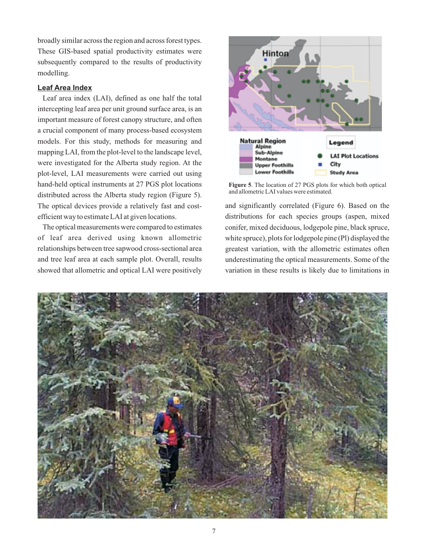broadly similar across the region and across forest types. These GIS-based spatial productivity estimates were subsequently compared to the results of productivity modelling.

### **Leaf Area Index**

Leaf area index (LAI), defined as one half the total intercepting leaf area per unit ground surface area, is an important measure of forest canopy structure, and often a crucial component of many process-based ecosystem models. For this study, methods for measuring and mapping LAI, from the plot-level to the landscape level, were investigated for the Alberta study region. At the plot-level, LAI measurements were carried out using hand-held optical instruments at 27 PGS plot locations distributed across the Alberta study region (Figure 5). The optical devices provide a relatively fast and costefficient way to estimate LAI at given locations.

The optical measurements were compared to estimates of leaf area derived using known allometric relationships between tree sapwood cross-sectional area and tree leaf area at each sample plot. Overall, results showed that allometric and optical LAI were positively



**Figure 5**. The location of 27 PGS plots for which both optical and allometric LAI values were estimated.

and significantly correlated (Figure 6). Based on the distributions for each species groups (aspen, mixed conifer, mixed deciduous, lodgepole pine, black spruce, white spruce), plots for lodgepole pine (Pl) displayed the greatest variation, with the allometric estimates often underestimating the optical measurements. Some of the variation in these results is likely due to limitations in

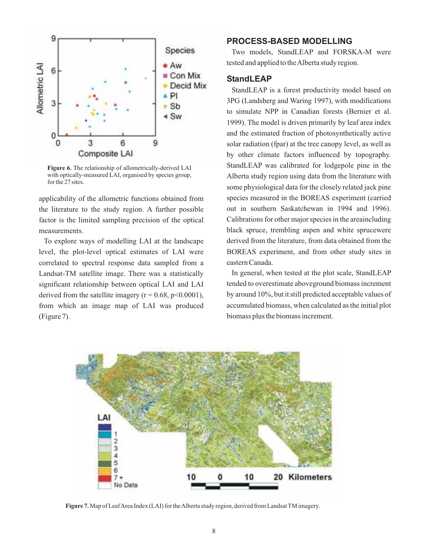

**Figure 6.** The relationship of allometrically-derived LAI with optically-measured LAI, organised by species group, for the 27 sites.

applicability of the allometric functions obtained from the literature to the study region. A further possible factor is the limited sampling precision of the optical measurements.

To explore ways of modelling LAI at the landscape level, the plot-level optical estimates of LAI were correlated to spectral response data sampled from a Landsat-TM satellite image. There was a statistically significant relationship between optical LAI and LAI derived from the satellite imagery ( $r = 0.68$ ,  $p < 0.0001$ ), from which an image map of LAI was produced (Figure 7).

## **PROCESS-BASED MODELLING**

Two models, StandLEAP and FORSKA-M were tested and applied to theAlberta study region.

# **StandLEAP**

StandLEAP is a forest productivity model based on 3PG (Landsberg and Waring 1997), with modifications to simulate NPP in Canadian forests (Bernier et al. 1999). The model is driven primarily by leaf area index and the estimated fraction of photosynthetically active solar radiation (fpar) at the tree canopy level, as well as by other climate factors influenced by topography. StandLEAP was calibrated for lodgepole pine in the Alberta study region using data from the literature with some physiological data for the closely related jack pine species measured in the BOREAS experiment (carried out in southern Saskatchewan in 1994 and 1996). Calibrations for other major species in the areaincluding black spruce, trembling aspen and white sprucewere derived from the literature, from data obtained from the BOREAS experiment, and from other study sites in eastern Canada.

In general, when tested at the plot scale, StandLEAP tended to overestimate aboveground biomass increment by around 10%, but it still predicted acceptable values of accumulated biomass, when calculated as the initial plot biomass plus the biomass increment.



**Figure 7.** Map of LeafArea Index (LAI) for theAlberta study region, derived from Landsat TM imagery.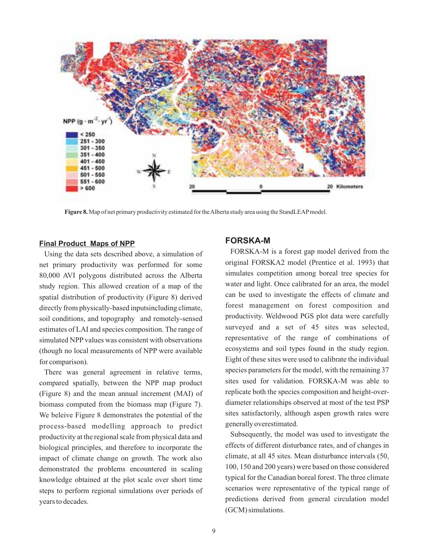

**Figure 8.** Map of net primary productivity estimated for theAlberta study area using the StandLEAPmodel.

#### **Final Product Maps of NPP**

Using the data sets described above, a simulation of net primary productivity was performed for some 80,000 AVI polygons distributed across the Alberta study region. This allowed creation of a map of the spatial distribution of productivity (Figure 8) derived directly from physically-based inputsincluding climate, soil conditions, and topography and remotely-sensed estimates of LAI and species composition. The range of simulated NPP values was consistent with observations (though no local measurements of NPP were available for comparison).

There was general agreement in relative terms, compared spatially, between the NPP map product (Figure 8) and the mean annual increment (MAI) of biomass computed from the biomass map (Figure 7). We beleive Figure 8 demonstrates the potential of the process-based modelling approach to predict productivity at the regional scale from physical data and biological principles, and therefore to incorporate the impact of climate change on growth. The work also demonstrated the problems encountered in scaling knowledge obtained at the plot scale over short time steps to perform regional simulations over periods of years to decades.

### **FORSKA-M**

FORSKA-M is a forest gap model derived from the original FORSKA2 model (Prentice et al. 1993) that simulates competition among boreal tree species for water and light. Once calibrated for an area, the model can be used to investigate the effects of climate and forest management on forest composition and productivity. Weldwood PGS plot data were carefully surveyed and a set of 45 sites was selected, representative of the range of combinations of ecosystems and soil types found in the study region. Eight of these sites were used to calibrate the individual species parameters for the model, with the remaining 37 sites used for validation. FORSKA-M was able to replicate both the species composition and height-overdiameter relationships observed at most of the test PSP sites satisfactorily, although aspen growth rates were generally overestimated.

Subsequently, the model was used to investigate the effects of different disturbance rates, and of changes in climate, at all 45 sites. Mean disturbance intervals (50, 100, 150 and 200 years) were based on those considered typical for the Canadian boreal forest. The three climate scenarios were representative of the typical range of predictions derived from general circulation model (GCM) simulations.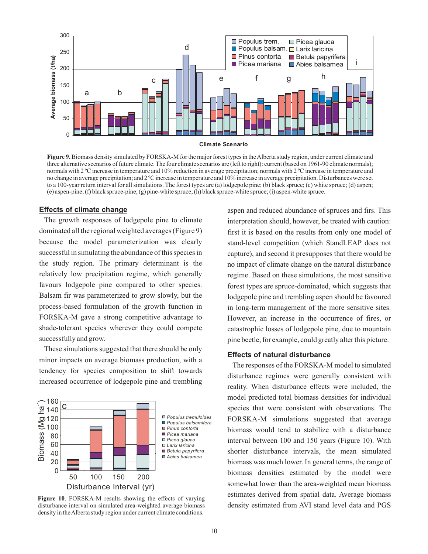

**Climate Scenario**

**Figure 9.** Biomass density simulated by FORSKA-M for the major forest types in the Alberta study region, under current climate and three alternative scenarios of future climate. The four climate scenarios are (left to right): current (based on 1961-90 climate normals); normals with 2 °C increase in temperature and 10% reduction in average precipitation; normals with 2 °C increase in temperature and no change in average precipitation; and 2 ºC increase in temperature and 10% increase in average precipitation. Disturbances were set to a 100-year return interval for all simulations. The forest types are (a) lodgepole pine; (b) black spruce; (c) white spruce; (d) aspen; (e) aspen-pine; (f) black spruce-pine; (g) pine-white spruce; (h) black spruce-white spruce; (i) aspen-white spruce.

#### **Effects of climate change**

The growth responses of lodgepole pine to climate dominated all the regional weighted averages (Figure 9) because the model parameterization was clearly successful in simulating the abundance of this species in the study region. The primary determinant is the relatively low precipitation regime, which generally favours lodgepole pine compared to other species. Balsam fir was parameterized to grow slowly, but the process-based formulation of the growth function in FORSKA-M gave a strong competitive advantage to shade-tolerant species wherever they could compete successfully and grow.

These simulations suggested that there should be only minor impacts on average biomass production, with a tendency for species composition to shift towards increased occurrence of lodgepole pine and trembling



**Figure 10**. FORSKA-M results showing the effects of varying disturbance interval on simulated area-weighted average biomass density in theAlberta study region under current climate conditions.

aspen and reduced abundance of spruces and firs. This interpretation should, however, be treated with caution: first it is based on the results from only one model of stand-level competition (which StandLEAP does not capture), and second it presupposes that there would be no impact of climate change on the natural disturbance regime. Based on these simulations, the most sensitive forest types are spruce-dominated, which suggests that lodgepole pine and trembling aspen should be favoured in long-term management of the more sensitive sites. However, an increase in the occurrence of fires, or catastrophic losses of lodgepole pine, due to mountain pine beetle, for example, could greatly alter this picture.

#### **Effects of natural disturbance**

The responses of the FORSKA-M model to simulated disturbance regimes were generally consistent with reality. When disturbance effects were included, the model predicted total biomass densities for individual species that were consistent with observations. The FORSKA-M simulations suggested that average biomass would tend to stabilize with a disturbance interval between 100 and 150 years (Figure 10). With shorter disturbance intervals, the mean simulated biomass was much lower. In general terms, the range of biomass densities estimated by the model were somewhat lower than the area-weighted mean biomass estimates derived from spatial data. Average biomass density estimated from AVI stand level data and PGS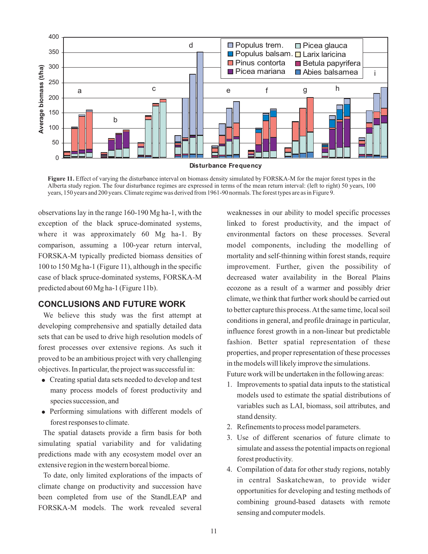

**Figure 11.** Effect of varying the disturbance interval on biomass density simulated by FORSKA-M for the major forest types in the Alberta study region. The four disturbance regimes are expressed in terms of the mean return interval: (left to right) 50 years, 100 years, 150 years and 200 years. Climate regime was derived from 1961-90 normals. The forest types are as in Figure 9.

observations lay in the range 160-190 Mg ha-1, with the exception of the black spruce-dominated systems, where it was approximately 60 Mg ha-1. By comparison, assuming a 100-year return interval, FORSKA-M typically predicted biomass densities of 100 to 150 Mg ha-1 (Figure 11), although in the specific case of black spruce-dominated systems, FORSKA-M predicted about 60 Mg ha-1 (Figure 11b).

# **CONCLUSIONS AND FUTURE WORK**

We believe this study was the first attempt at developing comprehensive and spatially detailed data sets that can be used to drive high resolution models of forest processes over extensive regions. As such it proved to be an ambitious project with very challenging objectives. In particular, the project was successful in:

- Creating spatial data sets needed to develop and test many process models of forest productivity and species succession, and
- Performing simulations with different models of forest responses to climate.

The spatial datasets provide a firm basis for both simulating spatial variability and for validating predictions made with any ecosystem model over an extensive region in the western boreal biome.

To date, only limited explorations of the impacts of climate change on productivity and succession have been completed from use of the StandLEAP and FORSKA-M models. The work revealed several

weaknesses in our ability to model specific processes linked to forest productivity, and the impact of environmental factors on these processes. Several model components, including the modelling of mortality and self-thinning within forest stands, require improvement. Further, given the possibility of decreased water availability in the Boreal Plains ecozone as a result of a warmer and possibly drier climate, we think that further work should be carried out to better capture this process.At the same time, local soil conditions in general, and profile drainage in particular, influence forest growth in a non-linear but predictable fashion. Better spatial representation of these properties, and proper representation of these processes in the models will likely improve the simulations.

Future work will be undertaken in the following areas:

- 1. Improvements to spatial data inputs to the statistical models used to estimate the spatial distributions of variables such as LAI, biomass, soil attributes, and stand density.
- 2. Refinements to process model parameters.
- 3. Use of different scenarios of future climate to simulate and assess the potential impacts on regional forest productivity.
- 4. Compilation of data for other study regions, notably in central Saskatchewan, to provide wider opportunities for developing and testing methods of combining ground-based datasets with remote sensing and computer models.